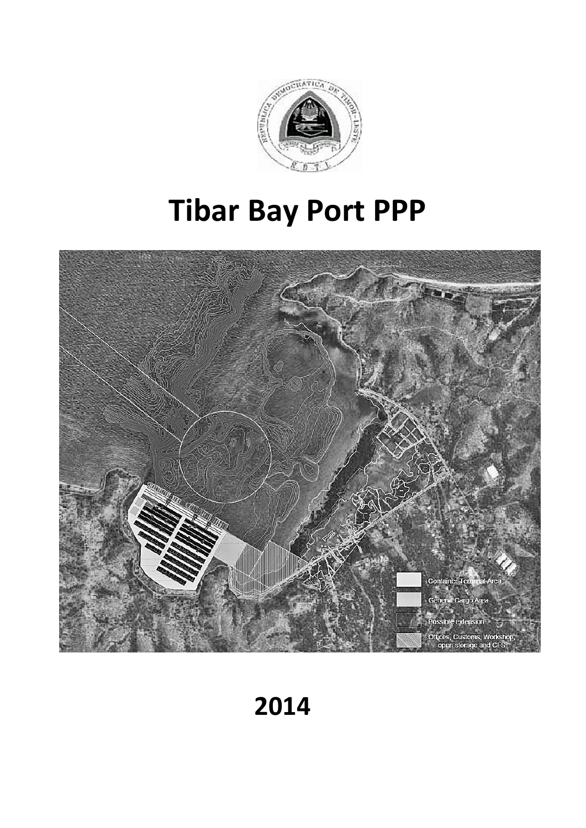

# **Tibar Bay Port PPP**



# **2014**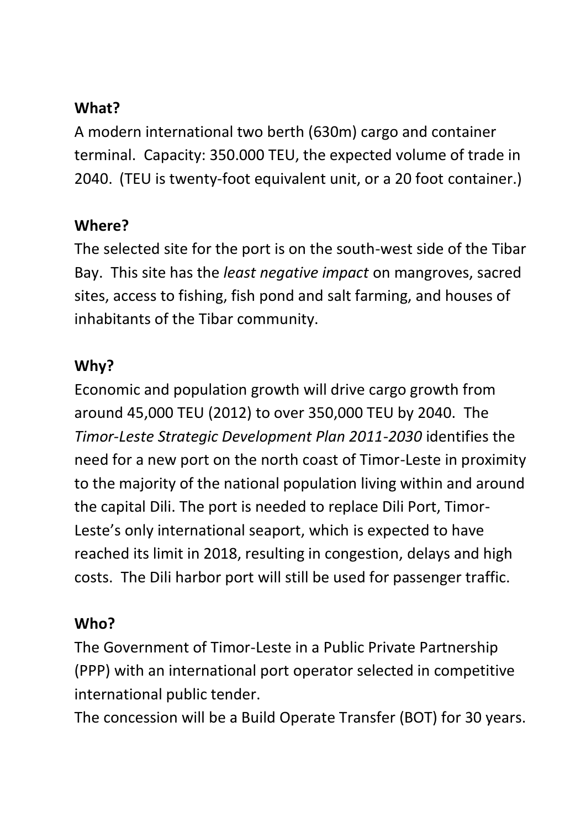# **What?**

A modern international two berth (630m) cargo and container terminal. Capacity: 350.000 TEU, the expected volume of trade in 2040. (TEU is twenty-foot equivalent unit, or a 20 foot container.)

# **Where?**

The selected site for the port is on the south-west side of the Tibar Bay. This site has the *least negative impact* on mangroves, sacred sites, access to fishing, fish pond and salt farming, and houses of inhabitants of the Tibar community.

# **Why?**

Economic and population growth will drive cargo growth from around 45,000 TEU (2012) to over 350,000 TEU by 2040. The *Timor-Leste Strategic Development Plan 2011-2030* identifies the need for a new port on the north coast of Timor-Leste in proximity to the majority of the national population living within and around the capital Dili. The port is needed to replace Dili Port, Timor-Leste's only international seaport, which is expected to have reached its limit in 2018, resulting in congestion, delays and high costs. The Dili harbor port will still be used for passenger traffic.

### **Who?**

The Government of Timor-Leste in a Public Private Partnership (PPP) with an international port operator selected in competitive international public tender.

The concession will be a Build Operate Transfer (BOT) for 30 years.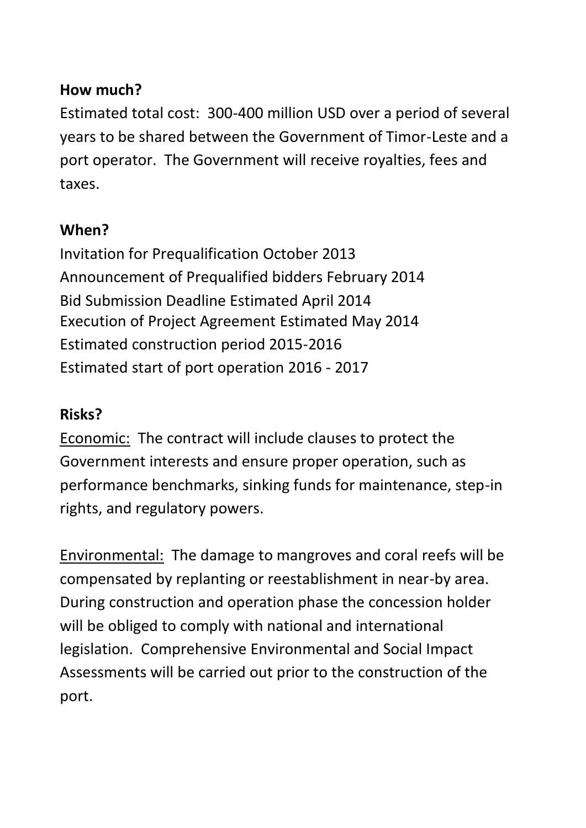#### **How much?**

Estimated total cost: 300-400 million USD over a period of several years to be shared between the Government of Timor-Leste and a port operator. The Government will receive royalties, fees and taxes.

#### **When?**

Invitation for Prequalification October 2013 Announcement of Prequalified bidders February 2014 Bid Submission Deadline Estimated April 2014 Execution of Project Agreement Estimated May 2014 Estimated construction period 2015-2016 Estimated start of port operation 2016 - 2017

#### **Risks?**

Economic: The contract will include clauses to protect the Government interests and ensure proper operation, such as performance benchmarks, sinking funds for maintenance, step-in rights, and regulatory powers.

Environmental: The damage to mangroves and coral reefs will be compensated by replanting or reestablishment in near-by area. During construction and operation phase the concession holder will be obliged to comply with national and international legislation. Comprehensive Environmental and Social Impact Assessments will be carried out prior to the construction of the port.